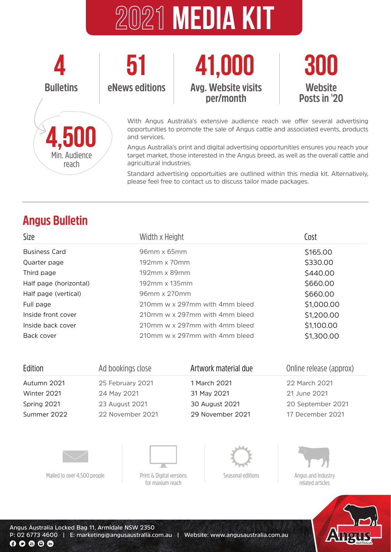# **2021 media kit**





With Angus Australia's extensive audience reach we offer several advertising opportunities to promote the sale of Angus cattle and associated events, products and services.

Angus Australia's print and digital advertising opportunities ensures you reach your target market, those interested in the Angus breed, as well as the overall cattle and agricultural industries.

Standard advertising opportuities are outlined within this media kit. Alternatively, please feel free to contact us to discuss tailor made packages.

# **Angus Bulletin**

**4,500**

Min. Audience reach

| Size                   | Width x Height                              | Cost       |
|------------------------|---------------------------------------------|------------|
| <b>Business Card</b>   | $96mm \times 65mm$                          | \$165.00   |
| Quarter page           | $192 \,\mathrm{mm} \times 70 \,\mathrm{mm}$ | \$330.00   |
| Third page             | $192 \text{mm} \times 89 \text{mm}$         | \$440.00   |
| Half page (horizontal) | 192mm x 135mm                               | \$660.00   |
| Half page (vertical)   | 96mm x 270mm                                | \$660.00   |
| Full page              | 210mm w x 297mm with 4mm bleed              | \$1,000.00 |
| Inside front cover     | 210mm w x 297mm with 4mm bleed              | \$1,200.00 |
| Inside back cover      | 210mm w x 297mm with 4mm bleed              | \$1,100.00 |
| Back cover             | 210mm w x 297mm with 4mm bleed              | \$1,300.00 |

| Ad bookings close |                | Online release (approx)                  |
|-------------------|----------------|------------------------------------------|
| 25 February 2021  | 1 March 2021   | 22 March 2021                            |
| 24 May 2021       | 31 May 2021    | 21 June 2021                             |
| 23 August 2021    | 30 August 2021 | 20 September 2021                        |
| 22 November 2021  |                | 17 December 2021                         |
|                   |                |                                          |
|                   |                | Artwork material due<br>29 November 2021 |





Mailed to over 4.500 people  $\Box$  Print & Digital versions

for maxium reach



Seasonal editions



Angus and Industry related articles



**Angus Australia Locked Bag 11, Armidale NSW 2350 P: 02 6773 4600 | E: marketing@angusaustralia.com.au | Website: www.angusaustralia.com.au** $00000$